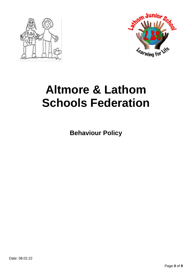



# **Altmore & Lathom Schools Federation**

**Behaviour Policy**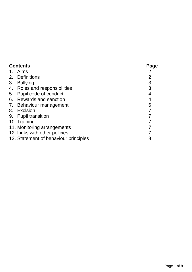| <b>Contents</b> |                                       | Page           |
|-----------------|---------------------------------------|----------------|
|                 | 1. Aims                               |                |
|                 | 2. Definitions                        | $\overline{2}$ |
| 3.              | <b>Bullying</b>                       | 3              |
| 4.              | Roles and responsibilities            | 3              |
| 5.              | Pupil code of conduct                 | 4              |
| 6.              | <b>Rewards and sanction</b>           | 4              |
|                 | 7. Behaviour management               | 6              |
|                 | 8. Exclsion                           |                |
|                 | 9. Pupil transition                   |                |
|                 | 10. Training                          |                |
|                 | 11. Monitoring arrangements           |                |
|                 | 12. Links with other policies         |                |
|                 | 13. Statement of behaviour principles | 8              |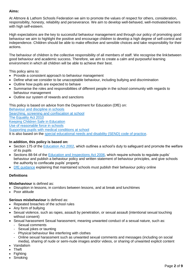# **Aims:**

At Altmore & Lathom Schools Federation we aim to promote the values of respect for others, consideration, responsibility, honesty, reliability and perseverance. We aim to develop well-behaved, well-motivatedlearners with high self-esteem.

High expectations are the key to successful behaviour management and through our policy of promoting good behaviour we aim to highlight the positive and encourage children to develop a high degree of self-control and independence. Children should be able to make effective and sensible choices and take responsibility for their actions.

The behaviour of children is the collective responsibility of all members of staff. We recognise the linkbetween good behaviour and academic success. Therefore, we aim to create a calm and purposeful learning environment in which all children will be able to achieve their best.

This policy aims to:

- Provide a consistent approach to behaviour management
- Define what we consider to be unacceptable behaviour, including bullying and discrimination
- Outline how pupils are expected to behave
- Summarise the roles and responsibilities of different people in the school community with regards to behaviour management
- Outline our system of rewards and sanctions

This policy is based on advice from the Department for Education (DfE) on:

[Behaviour and discipline in schools](https://www.gov.uk/government/publications/behaviour-and-discipline-in-schools) [Searching, screening and confiscation at school](https://www.gov.uk/government/publications/searching-screening-and-confiscation) [The Equality Act 2010](https://www.gov.uk/government/publications/equality-act-2010-advice-for-schools) [Keeping Children Safe in Education](https://www.gov.uk/government/publications/keeping-children-safe-in-education--2) [Use of reasonable force in schools](https://www.gov.uk/government/publications/use-of-reasonable-force-in-schools) [Supporting pupils with medical conditions at school](https://www.gov.uk/government/publications/supporting-pupils-at-school-with-medical-conditions--3) It is also based on the [special educational needs and disability \(SEND\) code of practice.](https://www.gov.uk/government/publications/send-code-of-practice-0-to-25)

# **In addition, this policy is based on:**

- Section 175 of the [Education Act 2002,](http://www.legislation.gov.uk/ukpga/2002/32/section/175) which outlines a school's duty to safeguard and promote the welfare of its pupils
- Sections 88-94 of the [Education and Inspections Act 2006,](http://www.legislation.gov.uk/ukpga/2006/40/section/88) which require schools to regulate pupils' behaviour and publish a behaviour policy and written statement of behaviour principles, and give schools the authority to confiscate pupils' property
- [DfE guidance](https://www.gov.uk/guidance/what-maintained-schools-must-publish-online#behaviour-policy) explaining that maintained schools must publish their behaviour policy online

# **Definitions**

**Misbehaviour** is defined as:

- Disruption in lessons, in corridors between lessons, and at break and lunchtimes
- Poor attitude

**Serious misbehaviour** is defined as:

- Repeated breaches of the school rules
- Any form of bullying
- Sexual violence, such as rapes, assault by penetration, or sexual assault (intentional sexual touching without consent)
- Sexual harassment Sexual harassment, meaning unwanted conduct of a sexual nature, such as:
	- Sexual comments
	- Sexual jokes or taunting
	- Physical behaviour like interfering with clothes
	- Online sexual harassment such as unwanted sexual comments and messages (including on social media), sharing of nude or semi-nude images and/or videos, or sharing of unwanted explicit content
- Vandalism
- Theft
- Fighting
- Smoking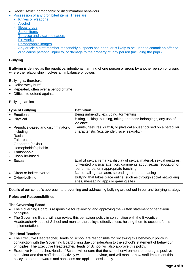- Racist, sexist, homophobic or discriminatory behaviour
- <span id="page-3-0"></span> [Possession of any prohibited items. These are:](#page-3-0)
	- [Knives or weapons](#page-3-0)
	- **[Alcohol](#page-3-0)**
	- **[Illegal drugs](#page-3-0)**
	- [Stolen items](#page-3-0)
	- [Tobacco and cigarette papers](#page-3-0)
	- **[Fireworks](#page-3-0)**
	- [Pornographic images](#page-3-0)
	- [Any article a staff member reasonably suspects has been, or is likely to be, used to commit an offence,](#page-3-0)  [or to cause personal injury to, or damage to the property of, any person \(including the pupil\)](#page-3-0)

# **Bullying**

**Bullying** is defined as the repetitive, intentional harming of one person or group by another person or group, where the relationship involves an imbalance of power.

Bullying is, therefore:

- Deliberately hurtful
- Repeated, often over a period of time
- Difficult to defend against

Bullying can include:

| <b>Type of Bullying</b>                                                                                                                                   | <b>Definition</b>                                                                                                                                                                   |
|-----------------------------------------------------------------------------------------------------------------------------------------------------------|-------------------------------------------------------------------------------------------------------------------------------------------------------------------------------------|
| • Emotional                                                                                                                                               | Being unfriendly, excluding, tormenting                                                                                                                                             |
| • Physical                                                                                                                                                | Hitting, kicking, pushing, taking another's belongings, any use of<br>violence                                                                                                      |
| Prejudice-based and discriminatory,<br>including:<br>Racial<br>Faith-based<br>Gendered (sexist)<br>Homophobic/biphobic<br>Transphobic<br>Disability-based | Taunts, gestures, graffiti, or physical abuse focused on a particular<br>characteristic (e.g. gender, race, sexuality)                                                              |
| • Sexual                                                                                                                                                  | Explicit sexual remarks, display of sexual material, sexual gestures,<br>unwanted physical attention, comments about sexual reputation or<br>performance, or inappropriate touching |
| Direct or indirect verbal                                                                                                                                 | Name-calling, sarcasm, spreading rumours, teasing                                                                                                                                   |
| • Cyber-bullying                                                                                                                                          | Bullying that takes place online, such as through social networking<br>sites, messaging apps or gaming sites                                                                        |

Details of our school's approach to preventing and addressing bullying are set out in our anti-bullying strategy

# **Roles and Responsibilities**

# **The Governing Board**

- The Governing Board is responsible for reviewing and approving the written statement of behaviour principles.
- The Governing Board will also review this behaviour policy in conjunction with the Executive Headteacher/Heads of School and monitor the policy's effectiveness, holding them to account for its implementation.

# **The Head Teacher**

- The Executive Headteacher/Heads of School are responsible for reviewing this behaviour policy in conjunction with the Governing Board giving due consideration to the school's statement of behaviour principles. The Executive Headteacher/Heads of School will also approve this policy.
- Executive Headteacher/Heads of School will ensure that the school environment encourages positive behaviour and that staff deal effectively with poor behaviour, and will monitor how staff implement this policy to ensure rewards and sanctions are applied consistently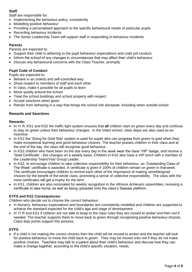# **Staff**

Staff are responsible for:

- Implementing the behaviour policy, consistently
- Modelling positive behaviour
- Providing a personalised approach to the specific behavioural needs of particular pupils
- Recording behaviour incidents
- The Senior Leadership Team will support staff in responding to behaviour incidents.

# **Parents**

Parents are expected to:

- Support their child in adhering to the pupil behaviour expectations and code pof conduct
- Inform the school of any changes in circumstances that may affect their child's behaviour
- Discuss any behavioural concerns with the Class Teacher, promptly

# **Pupil Code of Conduct**

Pupils are expected to:

- Behave in an orderly and self-controlled way
- Show respect to members of staff and each other
- In class, make it possible for all pupils to learn
- Move quietly around the school
- Treat the school buildings and school property with respect
- Accept sanctions when given
- Refrain from behaving in a way that brings the school into disrepute, including when outside school

# **Rewards and Sanctions**

# **Rewards:**

- In Yr R, KS1 and KS2 the traffic light system ensures that **all** children start on *green* every day and continue to stay on green unless their behaviour changes. In the Infant school, class dojos are also used as an incentive.
- In KS2 the 'Going for Gold Star' system is used for pupils who can progress from *green* to gold when they make exceptional learning and good behaviour choices. The teacher praises children in their class and at the end of the day, the class will recognise good behaviour.
- In KS2 children who have been on the star every day in the week wear the class 'VIP' badge, and receive a 'Gold Certificate' - this changes on a weekly basis. Children in KS2 also have a VIP lunch with a member of the Leadership Team/Year Group Leader.
- In KS2, to encourage children to take collective responsibility for their behaviour, an 'Outstanding Class of The Week' certificate is awarded. A certificate is given if 100% of children remain on *green* in thatweek. The certificate encourages children to remind each other of the importance of making sensible/good choices for the benefit of the whole class, promoting a sense of collective responsibility. The class with the most certificates will get a trophy for the term.
- In KS1, children are also nominated for weekly recognition in the *Altmore Achievers* assemblies, receiving a certificate to take home, as well as being uploaded onto the class's Seesaw platform.

# **EYFS and KS1 Consequences:**

Children who decide not to choose the correct behaviour:

- In Nursery, behaviour expectations and boundaries are consistently modelled and children are supported to achieve the standard expected for the child's age and stage of development.
- In Yr R and KS1 if children are not able to keep to the class rules they are moved to *amber* and then *red* if needed. The teacher supports them to move back to *green* through recognising positive behaviour choices. Class dojo points support this process.

# **EYFS**

 If a child is not making the correct choices then the child will be moved to *amber* and the teacher will look for positive behaviour to move the child back to *green*. They may be moved onto *red* if they do not make positive choices. Teachers may talk to a parent about their child's behaviour and discuss how they can make a change together, according to the child's specific situation, needs.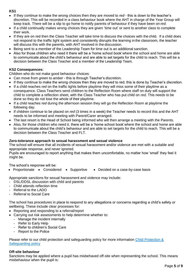# **KS1**

- If they continue to make the wrong choices then they are moved to *red* this is down to the teacher's discretion. This will be recorded in a class behaviour book where the AHT in charge of the Year Group will keep track. There will be a slip to go home to notify parents of behaviour if they have been on *red*.
- If a child continually makes wrong choices they are given 'time out' or sent to another class to complete their work.
- If they are on red then the Class Teacher will take time to discuss the choices with the child. If a child does not respond to the traffic light system and consistently disrupts the learning in the classroom, the teacher will discuss this with the parents, with AHT involved in the discussion.
- Being sent to a member of the Leadership Team for time out is an additional sanction.
- Also for those children who need it there will be a 'home school book'where the school and home are able to communicate about the child's behaviour and are able to set targets for the child to reach. This will be a decision between the Class Teacher and a member of the Leadership Team.

# **KS2 Consequences:**

Children who do not make good behaviour choices:

- Can move from *green* to *amber* this is through Teacher's discretion.
- If they continue to make the wrong choices then they are moved to red; this is done by Teacher's discretion.
- If a child reaches *red* on the traffic lights before playtime they will miss some of their playtime as a consequence. Class Teachers send children to the Reflection Room where staff on duty will support the child to complete a reflection sheet, with the Class Teacher who has put child on *red.* This needs to be done so they do not lose the whole of their playtime.
- If a child reaches *red* during the afternoon session they will go the Reflection Room at playtime the following day.
- If children continue to be placed on *red* (3 times in a week) the Teacher needs to record this and the AHT needs to be informed and meeting with Parent/Carer arranged.
- The last resort is the Head of School being informed who will then arrange a meeting with the Parents.
- Also, for those children who need it, there will be a 'home school book'where the school and home are able to communicate about the child's behaviour and are able to set targets for the child to reach. This will be a decision between the Class Teacher and FLT.

# **Zero-tolerance approach to sexual harassment and sexual violence**

The school will ensure that all incidents of sexual harassment and/or violence are met with a suitable and appropriate response, and never ignored.

Pupils are encouraged to report anything that makes them uncomfortable, no matter how 'small' they feel it might be.

The school's response will be:

• Proportionate • Considered • Supportive • Decided on a case-by-case basis

Appropriate sanctions for sexual harassment and violence may include:

- DSL/DDSL discussion with child and parents
- Child attends reflection time
- Referral to the LADO
- Referral to Social Care

The school has procedures in place to respond to any allegations or concerns regarding a child's safety or wellbeing. These include clear processes for:

- Reporting and responding to a referral/report
- Carrying out risk assessments to help determine whether to:
	- Manage the incident internally
		- Refer to Early Help
		- Refer to children's Social Care
		- Report to the Police

Please refer to our child protection and safeguarding policy for more information Child Protection & [Safeguarding policy](https://www.altmore.newham.sch.uk/attachments/download.asp?file=538&type=pdf)

# **Off-site behaviour**

Sanctions may be applied where a pupil has misbehaved off-site when representing the school. This means misbehaviour when the pupil is: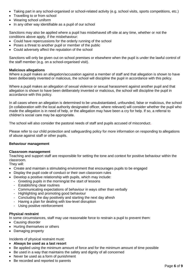- Taking part in any school-organised or school-related activity (e.g. school visits, sports competitions, etc.)
- Travelling to or from school
- Wearing school uniform
- In any other way identifiable as a pupil of our school

Sanctions may also be applied where a pupil has misbehaved off-site at any time, whether or not the conditions above apply, if the misbehaviour:

- Could have repercussions for the orderly running of the school
- Poses a threat to another pupil or member of the public
- Could adversely affect the reputation of the school

Sanctions will only be given out on school premises or elsewhere when the pupil is under the lawful control of the staff member (e.g. on a school-organised visit).

# **Malicious allegations**

Where a pupil makes an allegation/accusation against a member of staff and that allegation is shown to have been deliberately invented or malicious, the school will discipline the pupil in accordance with this policy.

Where a pupil makes an allegation of sexual violence or sexual harassment against another pupil and that allegation is shown to have been deliberately invented or malicious, the school will discipline the pupil in accordance with this policy.

In all cases where an allegation is determined to be unsubstantiated, unfounded, false or malicious, the school (in collaboration with the local authority designated officer, where relevant) will consider whether the pupil who made the allegation is in need of help, or the allegation may have been a cry for help. If so, a referral to children's social care may be appropriate.

The school will also consider the pastoral needs of staff and pupils accused of misconduct.

Please refer to our child protection and safeguarding policy for more information on responding to allegations of abuse against staff or other pupils.

# **Behaviour management**

#### **Classroom management**

Teaching and support staff are responsible for setting the tone and context for positive behaviour within the classroom.

They will:

- Create and maintain a stimulating environment that encourages pupils to be engaged
- Display the pupil code of conduct or their own classroom rules
- Develop a positive relationship with pupils, which may include:
	- Greeting pupils in the morning/at the start of lessons
	- Establishing clear routines
	- Communicating expectations of behaviour in ways other than verbally
	- Highlighting and promoting good behaviour
	- Concluding the day positively and starting the next day afresh
	- Having a plan for dealing with low-level disruption
	- Using positive reinforcement

# **Physical restraint**

In some circumstances, staff may use reasonable force to restrain a pupil to prevent them:

- Causing disorder
- Hurting themselves or others
- Damaging property

Incidents of physical restraint must:

- **Always be used as a last resort**
- Be applied using the minimum amount of force and for the minimum amount of time possible
- Be used in a way that maintains the safety and dignity of all concerned
- Never be used as a form of punishment
- Be recorded and reported to parents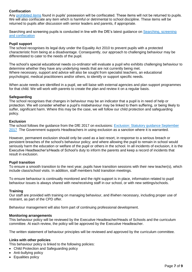# **Confiscation**

Any [prohibited items](#page-3-0) found in pupils' possession will be confiscated. These items will not be returned to pupils. We will also confiscate any item which is harmful or detrimental to school discipline. These items will be returned to pupils after discussion with senior leaders and parents, if appropriate.

Searching and screening pupils is conducted in line with the DfE's latest guidance on [Searching, screening](https://www.gov.uk/government/publications/searching-screening-and-confiscation)  [and confiscation](https://www.gov.uk/government/publications/searching-screening-and-confiscation)

# **Pupil support**

The school recognises its legal duty under the Equality Act 2010 to prevent pupils with a protected characteristic from being at a disadvantage. Consequently, our approach to challenging behaviour may be differentiated to cater to the needs of the pupil.

The school's special educational needs co-ordinator will evaluate a pupil who exhibits challenging behaviour to determine whether they have any underlying needs that are not currently being met. Where necessary, support and advice will also be sought from specialist teachers, an educational psychologist, medical practitioners and/or others, to identify or support specific needs.

When acute needs are identified in a pupil, we will liaise with external agencies and plan support programmes for that child. We will work with parents to create the plan and review it on a regular basis.

#### **Safeguarding**

The school recognises that changes in behaviour may be an indicator that a pupil is in need of help or protection. We will consider whether a pupil's misbehaviour may be linked to them suffering, or being likely to suffer, significant harm. Where this may be the case, we will follow our child protection and safeguarding policy.

#### **Exclusion**

The school follows the guidance from the DfE 2017 on exclusions: [Exclusion: Statutory guidance September](https://assets.publishing.service.gov.uk/government/uploads/system/uploads/attachment_data/file/921405/20170831_Exclusion_Stat_guidance_Web_version.pdf)  [2017](https://assets.publishing.service.gov.uk/government/uploads/system/uploads/attachment_data/file/921405/20170831_Exclusion_Stat_guidance_Web_version.pdf) The Government supports Headteachers in using exclusion as a sanction where it is warranted.

However, permanent exclusion should only be used as a last resort, in response to a serious breach or persistent breaches of the school's behaviour policy; and where allowing the pupil to remain in school would seriously harm the education or welfare of the pupil or others in the school. In all incidents of exclusion, it is the Executive Headteacher's/Heads of School's duty to inform the parents and keep a record of incidents that result in exclusion.

# <span id="page-7-0"></span>**Pupil transition**

To ensure a smooth transition to the next year, pupils have transition sessions with their new teacher(s), which include class/school visits. In addition, staff members hold transition meetings.

To ensure behaviour is continually monitored and the right support is in place, information related to pupil behaviour issues is always shared with new/receiving staff in our school, or with new settings/schools.

#### <span id="page-7-1"></span>**Training**

Our staff are provided with training on managing behaviour, and if/when necessary, including proper use of restraint, as part of the CPD offer.

Behaviour management will also form part of continuing professional development.

#### **Monitoring arrangements**

This behaviour policy will be reviewed by the Executive Headteacher/Heads of Schools and the curriculum committee. At each review, the policy will be approved by the Executive Headteacher.

The written statement of behaviour principles will be reviewed and approved by the curriculum committee.

#### <span id="page-7-2"></span>**Links with other policies**

This behaviour policy is linked to the following policies:

- Child Protection and Safeguarding policy
- Anti-bullying policy
- Equalities policy